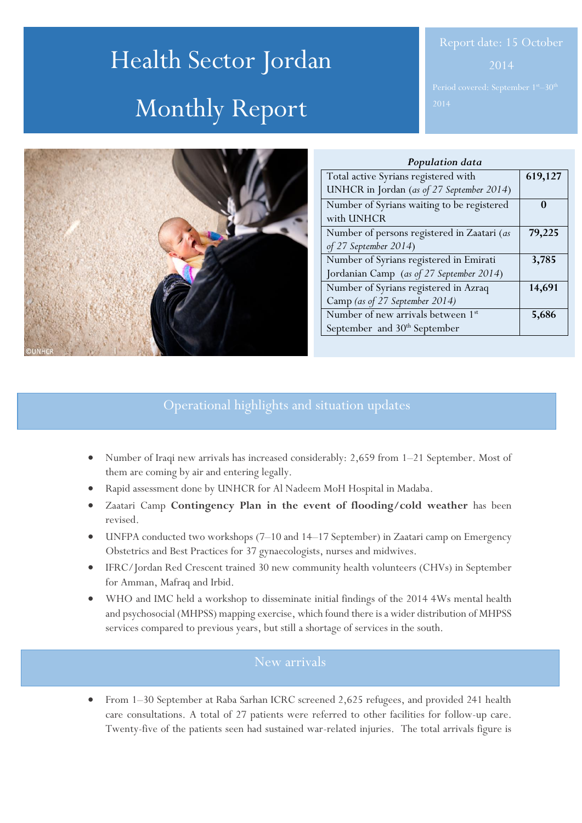# Health Sector Jordan Monthly Report



| Population data                             |         |
|---------------------------------------------|---------|
| Total active Syrians registered with        | 619,127 |
| UNHCR in Jordan (as of 27 September 2014)   |         |
| Number of Syrians waiting to be registered  |         |
| with UNHCR                                  |         |
| Number of persons registered in Zaatari (as | 79,225  |
| of 27 September 2014)                       |         |
| Number of Syrians registered in Emirati     | 3,785   |
| Jordanian Camp (as of 27 September 2014)    |         |
| Number of Syrians registered in Azraq       | 14,691  |
| Camp (as of 27 September 2014)              |         |
| Number of new arrivals between 1st          | 5,686   |
| September and 30 <sup>th</sup> September    |         |

# Operational highlights and situation updates

- Number of Iraqi new arrivals has increased considerably: 2,659 from 1–21 September. Most of them are coming by air and entering legally.
- Rapid assessment done by UNHCR for Al Nadeem MoH Hospital in Madaba.
- Zaatari Camp **Contingency Plan in the event of flooding/cold weather** has been revised.
- UNFPA conducted two workshops (7–10 and 14–17 September) in Zaatari camp on Emergency Obstetrics and Best Practices for 37 gynaecologists, nurses and midwives.
- IFRC/Jordan Red Crescent trained 30 new community health volunteers (CHVs) in September for Amman, Mafraq and Irbid.
- WHO and IMC held a workshop to disseminate initial findings of the 2014 4Ws mental health and psychosocial (MHPSS) mapping exercise, which found there is a wider distribution of MHPSS services compared to previous years, but still a shortage of services in the south.

# New arrivals

 From 1–30 September at Raba Sarhan ICRC screened 2,625 refugees, and provided 241 health care consultations. A total of 27 patients were referred to other facilities for follow-up care. Twenty-five of the patients seen had sustained war-related injuries. The total arrivals figure is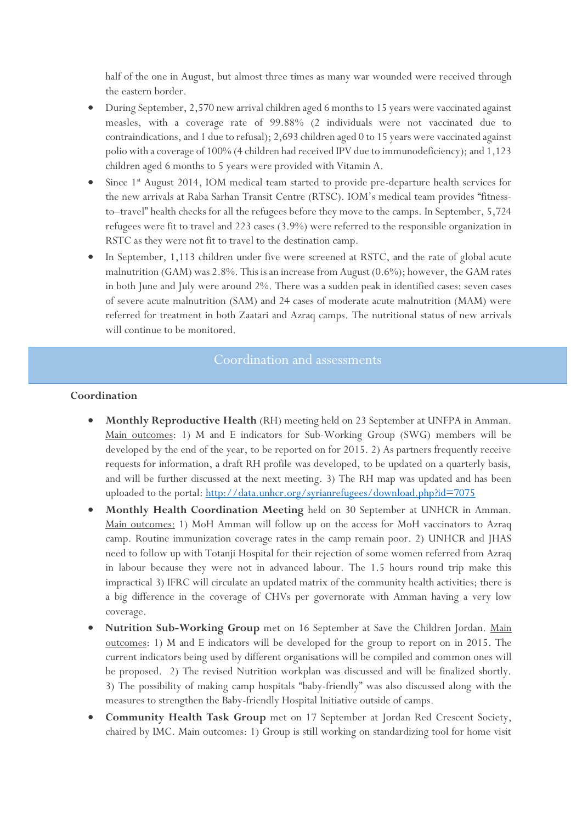half of the one in August, but almost three times as many war wounded were received through the eastern border.

- During September, 2,570 new arrival children aged 6 months to 15 years were vaccinated against measles, with a coverage rate of 99.88% (2 individuals were not vaccinated due to contraindications, and 1 due to refusal); 2,693 children aged 0 to 15 years were vaccinated against polio with a coverage of 100% (4 children had received IPV due to immunodeficiency); and 1,123 children aged 6 months to 5 years were provided with Vitamin A.
- Since 1<sup>st</sup> August 2014, IOM medical team started to provide pre-departure health services for the new arrivals at Raba Sarhan Transit Centre (RTSC). IOM's medical team provides "fitnessto–travel" health checks for all the refugees before they move to the camps. In September, 5,724 refugees were fit to travel and 223 cases (3.9%) were referred to the responsible organization in RSTC as they were not fit to travel to the destination camp.
- In September, 1,113 children under five were screened at RSTC, and the rate of global acute malnutrition (GAM) was 2.8%. This is an increase from August (0.6%); however, the GAM rates in both June and July were around 2%. There was a sudden peak in identified cases: seven cases of severe acute malnutrition (SAM) and 24 cases of moderate acute malnutrition (MAM) were referred for treatment in both Zaatari and Azraq camps. The nutritional status of new arrivals will continue to be monitored.

#### **Coordination**

- **Monthly Reproductive Health** (RH) meeting held on 23 September at UNFPA in Amman. Main outcomes: 1) M and E indicators for Sub-Working Group (SWG) members will be developed by the end of the year, to be reported on for 2015. 2) As partners frequently receive requests for information, a draft RH profile was developed, to be updated on a quarterly basis, and will be further discussed at the next meeting. 3) The RH map was updated and has been uploaded to the portal:<http://data.unhcr.org/syrianrefugees/download.php?id=7075>
- **Monthly Health Coordination Meeting** held on 30 September at UNHCR in Amman. Main outcomes: 1) MoH Amman will follow up on the access for MoH vaccinators to Azraq camp. Routine immunization coverage rates in the camp remain poor. 2) UNHCR and JHAS need to follow up with Totanji Hospital for their rejection of some women referred from Azraq in labour because they were not in advanced labour. The 1.5 hours round trip make this impractical 3) IFRC will circulate an updated matrix of the community health activities; there is a big difference in the coverage of CHVs per governorate with Amman having a very low coverage.
- **Nutrition Sub-Working Group** met on 16 September at Save the Children Jordan. Main outcomes: 1) M and E indicators will be developed for the group to report on in 2015. The current indicators being used by different organisations will be compiled and common ones will be proposed. 2) The revised Nutrition workplan was discussed and will be finalized shortly. 3) The possibility of making camp hospitals "baby-friendly" was also discussed along with the measures to strengthen the Baby-friendly Hospital Initiative outside of camps.
- **Community Health Task Group** met on 17 September at Jordan Red Crescent Society, chaired by IMC. Main outcomes: 1) Group is still working on standardizing tool for home visit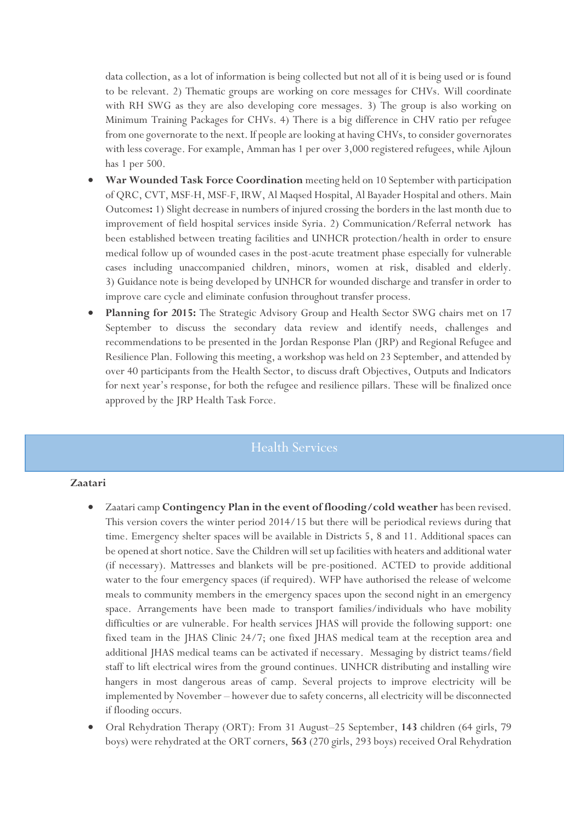data collection, as a lot of information is being collected but not all of it is being used or is found to be relevant. 2) Thematic groups are working on core messages for CHVs. Will coordinate with RH SWG as they are also developing core messages. 3) The group is also working on Minimum Training Packages for CHVs. 4) There is a big difference in CHV ratio per refugee from one governorate to the next. If people are looking at having CHVs, to consider governorates with less coverage. For example, Amman has 1 per over 3,000 registered refugees, while Ajloun has 1 per 500.

- **War Wounded Task Force Coordination** meeting held on 10 September with participation of QRC, CVT, MSF-H, MSF-F, IRW, Al Maqsed Hospital, Al Bayader Hospital and others. Main Outcomes**:** 1) Slight decrease in numbers of injured crossing the borders in the last month due to improvement of field hospital services inside Syria. 2) Communication/Referral network has been established between treating facilities and UNHCR protection/health in order to ensure medical follow up of wounded cases in the post-acute treatment phase especially for vulnerable cases including unaccompanied children, minors, women at risk, disabled and elderly. 3) Guidance note is being developed by UNHCR for wounded discharge and transfer in order to improve care cycle and eliminate confusion throughout transfer process.
- **Planning for 2015:** The Strategic Advisory Group and Health Sector SWG chairs met on 17 September to discuss the secondary data review and identify needs, challenges and recommendations to be presented in the Jordan Response Plan (JRP) and Regional Refugee and Resilience Plan. Following this meeting, a workshop was held on 23 September, and attended by over 40 participants from the Health Sector, to discuss draft Objectives, Outputs and Indicators for next year's response, for both the refugee and resilience pillars. These will be finalized once approved by the JRP Health Task Force.

## Health Services

### **Zaatari**

- Zaatari camp **Contingency Plan in the event of flooding/cold weather** has been revised. This version covers the winter period 2014/15 but there will be periodical reviews during that time. Emergency shelter spaces will be available in Districts 5, 8 and 11. Additional spaces can be opened at short notice. Save the Children will set up facilities with heaters and additional water (if necessary). Mattresses and blankets will be pre-positioned. ACTED to provide additional water to the four emergency spaces (if required). WFP have authorised the release of welcome meals to community members in the emergency spaces upon the second night in an emergency space. Arrangements have been made to transport families/individuals who have mobility difficulties or are vulnerable. For health services JHAS will provide the following support: one fixed team in the JHAS Clinic 24/7; one fixed JHAS medical team at the reception area and additional JHAS medical teams can be activated if necessary. Messaging by district teams/field staff to lift electrical wires from the ground continues. UNHCR distributing and installing wire hangers in most dangerous areas of camp. Several projects to improve electricity will be implemented by November – however due to safety concerns, all electricity will be disconnected if flooding occurs.
- Oral Rehydration Therapy (ORT): From 31 August–25 September, **143** children (64 girls, 79 boys) were rehydrated at the ORT corners, **563** (270 girls, 293 boys) received Oral Rehydration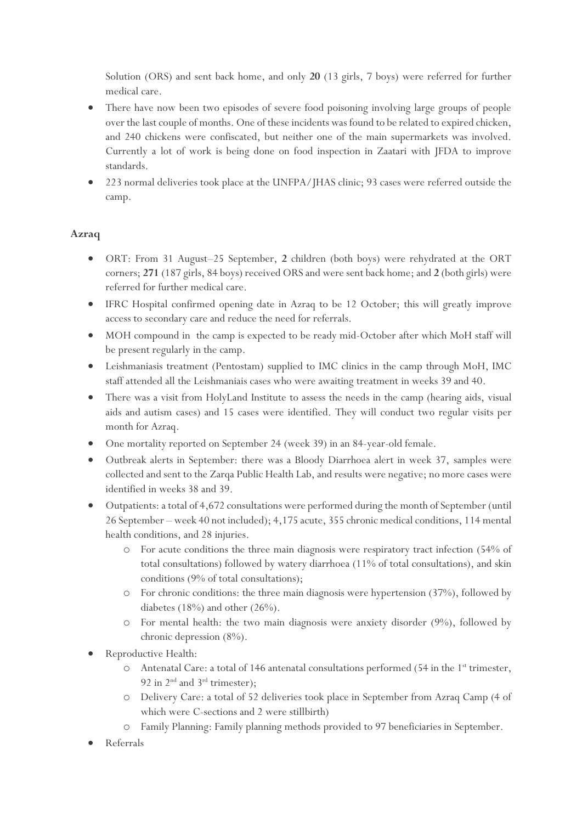Solution (ORS) and sent back home, and only **20** (13 girls, 7 boys) were referred for further medical care.

- There have now been two episodes of severe food poisoning involving large groups of people over the last couple of months. One of these incidents was found to be related to expired chicken, and 240 chickens were confiscated, but neither one of the main supermarkets was involved. Currently a lot of work is being done on food inspection in Zaatari with JFDA to improve standards.
- 223 normal deliveries took place at the UNFPA/JHAS clinic; 93 cases were referred outside the camp.

## **Azraq**

- ORT: From 31 August–25 September, **2** children (both boys) were rehydrated at the ORT corners; **271** (187 girls, 84 boys) received ORS and were sent back home; and **2** (both girls) were referred for further medical care.
- IFRC Hospital confirmed opening date in Azraq to be 12 October; this will greatly improve access to secondary care and reduce the need for referrals.
- MOH compound in the camp is expected to be ready mid-October after which MoH staff will be present regularly in the camp.
- Leishmaniasis treatment (Pentostam) supplied to IMC clinics in the camp through MoH, IMC staff attended all the Leishmaniais cases who were awaiting treatment in weeks 39 and 40.
- There was a visit from HolyLand Institute to assess the needs in the camp (hearing aids, visual aids and autism cases) and 15 cases were identified. They will conduct two regular visits per month for Azraq.
- One mortality reported on September 24 (week 39) in an 84-year-old female.
- Outbreak alerts in September: there was a Bloody Diarrhoea alert in week 37, samples were collected and sent to the Zarqa Public Health Lab, and results were negative; no more cases were identified in weeks 38 and 39.
- Outpatients:a total of 4,672 consultations were performed during the month of September (until 26 September – week 40 not included); 4,175 acute, 355 chronic medical conditions, 114 mental health conditions, and 28 injuries.
	- o For acute conditions the three main diagnosis were respiratory tract infection (54% of total consultations) followed by watery diarrhoea (11% of total consultations), and skin conditions (9% of total consultations);
	- o For chronic conditions: the three main diagnosis were hypertension (37%), followed by diabetes (18%) and other (26%).
	- o For mental health: the two main diagnosis were anxiety disorder (9%), followed by chronic depression (8%).
- Reproductive Health:
	- o Antenatal Care: a total of 146 antenatal consultations performed (54 in the 1st trimester, 92 in  $2^{\text{nd}}$  and  $3^{\text{rd}}$  trimester);
	- o Delivery Care: a total of 52 deliveries took place in September from Azraq Camp (4 of which were C-sections and 2 were stillbirth)
	- o Family Planning: Family planning methods provided to 97 beneficiaries in September.
- Referrals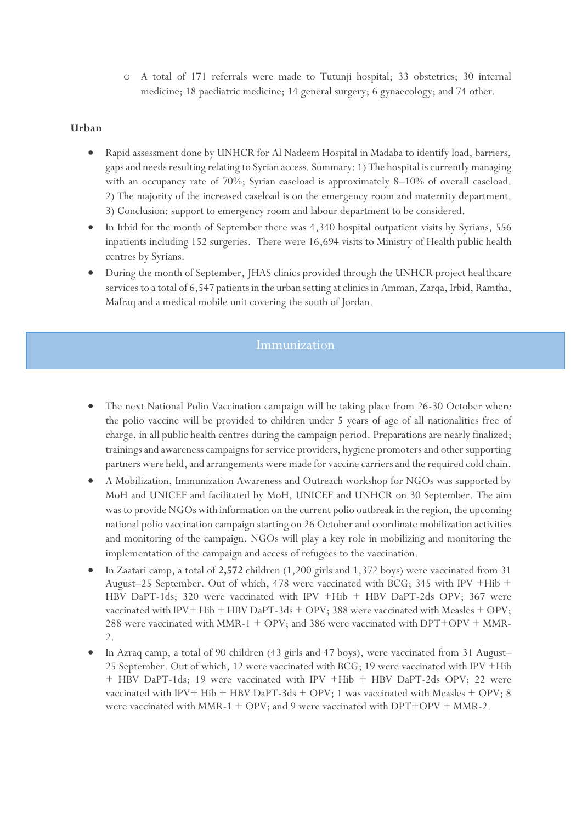o A total of 171 referrals were made to Tutunji hospital; 33 obstetrics; 30 internal medicine; 18 paediatric medicine; 14 general surgery; 6 gynaecology; and 74 other.

### **Urban**

- Rapid assessment done by UNHCR for Al Nadeem Hospital in Madaba to identify load, barriers, gaps and needs resulting relating to Syrian access. Summary: 1) The hospital is currently managing with an occupancy rate of 70%; Syrian caseload is approximately 8–10% of overall caseload. 2) The majority of the increased caseload is on the emergency room and maternity department. 3) Conclusion: support to emergency room and labour department to be considered.
- In Irbid for the month of September there was 4,340 hospital outpatient visits by Syrians, 556 inpatients including 152 surgeries. There were 16,694 visits to Ministry of Health public health centres by Syrians.
- During the month of September, JHAS clinics provided through the UNHCR project healthcare services to a total of 6,547 patients in the urban setting at clinics in Amman, Zarqa, Irbid, Ramtha, Mafraq and a medical mobile unit covering the south of Jordan.

- The next National Polio Vaccination campaign will be taking place from 26-30 October where the polio vaccine will be provided to children under 5 years of age of all nationalities free of charge, in all public health centres during the campaign period. Preparations are nearly finalized; trainings and awareness campaigns for service providers, hygiene promoters and other supporting partners were held, and arrangements were made for vaccine carriers and the required cold chain.
- A Mobilization, Immunization Awareness and Outreach workshop for NGOs was supported by MoH and UNICEF and facilitated by MoH, UNICEF and UNHCR on 30 September. The aim was to provide NGOs with information on the current polio outbreak in the region, the upcoming national polio vaccination campaign starting on 26 October and coordinate mobilization activities and monitoring of the campaign. NGOs will play a key role in mobilizing and monitoring the implementation of the campaign and access of refugees to the vaccination.
- In Zaatari camp, a total of **2,572** children (1,200 girls and 1,372 boys) were vaccinated from 31 August–25 September. Out of which, 478 were vaccinated with BCG; 345 with IPV +Hib + HBV DaPT-1ds; 320 were vaccinated with IPV +Hib + HBV DaPT-2ds OPV; 367 were vaccinated with IPV+ Hib + HBV DaPT-3ds + OPV; 388 were vaccinated with Measles + OPV; 288 were vaccinated with MMR-1 + OPV; and 386 were vaccinated with DPT+OPV + MMR-2.
- In Azraq camp, a total of 90 children (43 girls and 47 boys), were vaccinated from 31 August– 25 September. Out of which, 12 were vaccinated with BCG; 19 were vaccinated with IPV +Hib + HBV DaPT-1ds; 19 were vaccinated with IPV +Hib + HBV DaPT-2ds OPV; 22 were vaccinated with IPV+ Hib + HBV DaPT-3ds + OPV; 1 was vaccinated with Measles + OPV; 8 were vaccinated with MMR-1 + OPV; and 9 were vaccinated with  $DPT+OPV$  + MMR-2.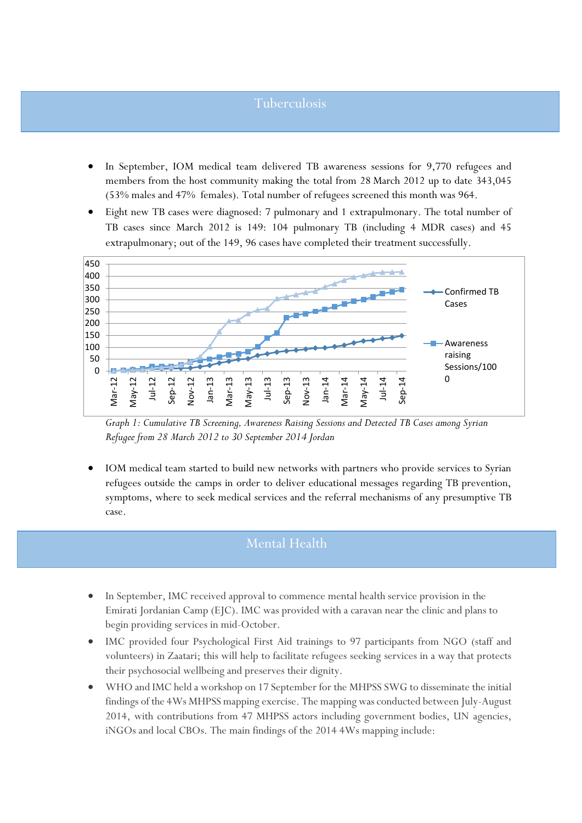# Tuberculosis

- In September, IOM medical team delivered TB awareness sessions for 9,770 refugees and members from the host community making the total from 28 March 2012 up to date 343,045 (53% males and 47% females). Total number of refugees screened this month was 964.
- Eight new TB cases were diagnosed: 7 pulmonary and 1 extrapulmonary. The total number of TB cases since March 2012 is 149: 104 pulmonary TB (including 4 MDR cases) and 45 extrapulmonary; out of the 149, 96 cases have completed their treatment successfully.



*Graph 1: Cumulative TB Screening, Awareness Raising Sessions and Detected TB Cases among Syrian Refugee from 28 March 2012 to 30 September 2014 Jordan*

 IOM medical team started to build new networks with partners who provide services to Syrian refugees outside the camps in order to deliver educational messages regarding TB prevention, symptoms, where to seek medical services and the referral mechanisms of any presumptive TB case.

# Mental Health

- In September, IMC received approval to commence mental health service provision in the Emirati Jordanian Camp (EJC). IMC was provided with a caravan near the clinic and plans to begin providing services in mid-October.
- IMC provided four Psychological First Aid trainings to 97 participants from NGO (staff and volunteers) in Zaatari; this will help to facilitate refugees seeking services in a way that protects their psychosocial wellbeing and preserves their dignity.
- WHO and IMC held a workshop on 17 September for the MHPSS SWG to disseminate the initial findings of the 4Ws MHPSS mapping exercise. The mapping was conducted between July-August 2014, with contributions from 47 MHPSS actors including government bodies, UN agencies, iNGOs and local CBOs. The main findings of the 2014 4Ws mapping include: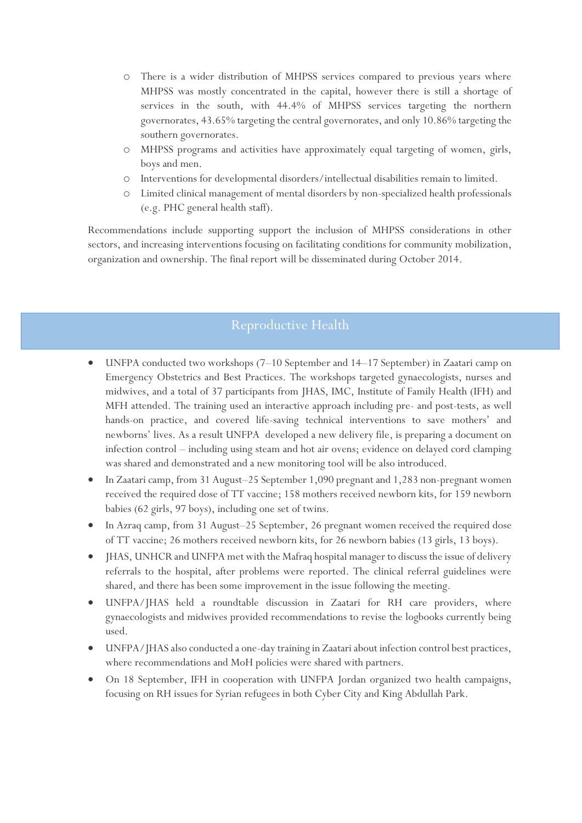- o There is a wider distribution of MHPSS services compared to previous years where MHPSS was mostly concentrated in the capital, however there is still a shortage of services in the south, with 44.4% of MHPSS services targeting the northern governorates, 43.65% targeting the central governorates, and only 10.86% targeting the southern governorates.
- o MHPSS programs and activities have approximately equal targeting of women, girls, boys and men.
- o Interventions for developmental disorders/intellectual disabilities remain to limited.
- o Limited clinical management of mental disorders by non-specialized health professionals (e.g. PHC general health staff).

Recommendations include supporting support the inclusion of MHPSS considerations in other sectors, and increasing interventions focusing on facilitating conditions for community mobilization, organization and ownership. The final report will be disseminated during October 2014.

# Reproductive Health

- UNFPA conducted two workshops (7–10 September and 14–17 September) in Zaatari camp on Emergency Obstetrics and Best Practices. The workshops targeted gynaecologists, nurses and midwives, and a total of 37 participants from JHAS, IMC, Institute of Family Health (IFH) and MFH attended. The training used an interactive approach including pre- and post-tests, as well hands-on practice, and covered life-saving technical interventions to save mothers' and newborns' lives. As a result UNFPA developed a new delivery file, is preparing a document on infection control – including using steam and hot air ovens; evidence on delayed cord clamping was shared and demonstrated and a new monitoring tool will be also introduced.
- In Zaatari camp, from 31 August–25 September 1,090 pregnant and 1,283 non-pregnant women received the required dose of TT vaccine; 158 mothers received newborn kits, for 159 newborn babies (62 girls, 97 boys), including one set of twins.
- In Azraq camp, from 31 August–25 September, 26 pregnant women received the required dose of TT vaccine; 26 mothers received newborn kits, for 26 newborn babies (13 girls, 13 boys).
- JHAS, UNHCR and UNFPA met with the Mafraq hospital manager to discuss the issue of delivery referrals to the hospital, after problems were reported. The clinical referral guidelines were shared, and there has been some improvement in the issue following the meeting.
- UNFPA/JHAS held a roundtable discussion in Zaatari for RH care providers, where gynaecologists and midwives provided recommendations to revise the logbooks currently being used.
- UNFPA/JHAS also conducted a one-day training in Zaatari about infection control best practices, where recommendations and MoH policies were shared with partners.
- On 18 September, IFH in cooperation with UNFPA Jordan organized two health campaigns, focusing on RH issues for Syrian refugees in both Cyber City and King Abdullah Park.